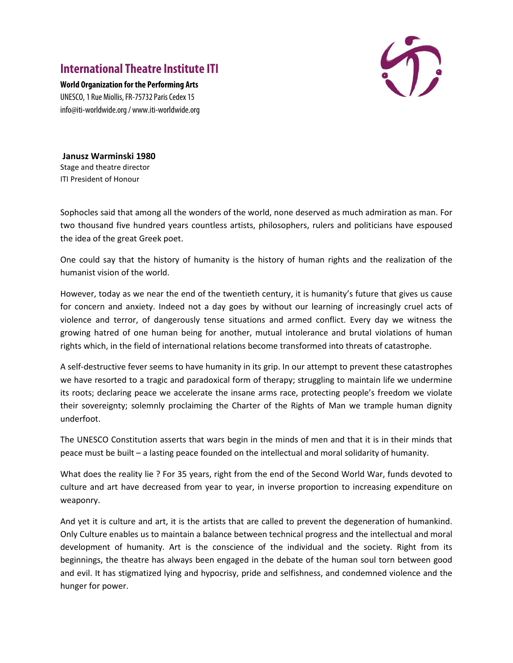## **International Theatre Institute ITI**



**World Organization for the Performing Arts** UNESCO, 1 Rue Miollis, FR-75732 Paris Cedex 15 info@iti-worldwide.org / www.iti-worldwide.org

**Janusz Warminski 1980**  Stage and theatre director ITI President of Honour

Sophocles said that among all the wonders of the world, none deserved as much admiration as man. For two thousand five hundred years countless artists, philosophers, rulers and politicians have espoused the idea of the great Greek poet.

One could say that the history of humanity is the history of human rights and the realization of the humanist vision of the world.

However, today as we near the end of the twentieth century, it is humanity's future that gives us cause for concern and anxiety. Indeed not a day goes by without our learning of increasingly cruel acts of violence and terror, of dangerously tense situations and armed conflict. Every day we witness the growing hatred of one human being for another, mutual intolerance and brutal violations of human rights which, in the field of international relations become transformed into threats of catastrophe.

A self-destructive fever seems to have humanity in its grip. In our attempt to prevent these catastrophes we have resorted to a tragic and paradoxical form of therapy; struggling to maintain life we undermine its roots; declaring peace we accelerate the insane arms race, protecting people's freedom we violate their sovereignty; solemnly proclaiming the Charter of the Rights of Man we trample human dignity underfoot.

The UNESCO Constitution asserts that wars begin in the minds of men and that it is in their minds that peace must be built – a lasting peace founded on the intellectual and moral solidarity of humanity.

What does the reality lie ? For 35 years, right from the end of the Second World War, funds devoted to culture and art have decreased from year to year, in inverse proportion to increasing expenditure on weaponry.

And yet it is culture and art, it is the artists that are called to prevent the degeneration of humankind. Only Culture enables us to maintain a balance between technical progress and the intellectual and moral development of humanity. Art is the conscience of the individual and the society. Right from its beginnings, the theatre has always been engaged in the debate of the human soul torn between good and evil. It has stigmatized lying and hypocrisy, pride and selfishness, and condemned violence and the hunger for power.